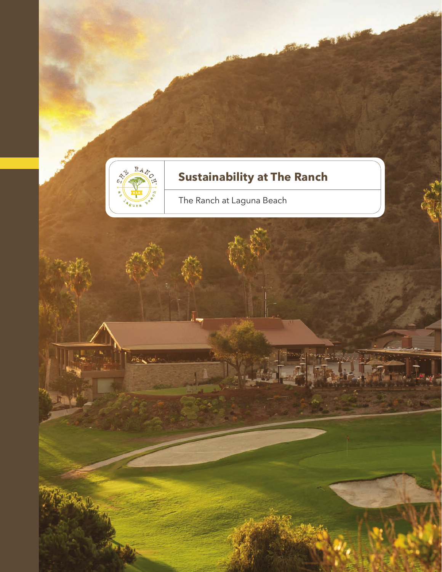

PAS Cual

# **Sustainability at The Ranch**

**SALESMAN** 

**ALLES** ers.

The Ranch at Laguna Beach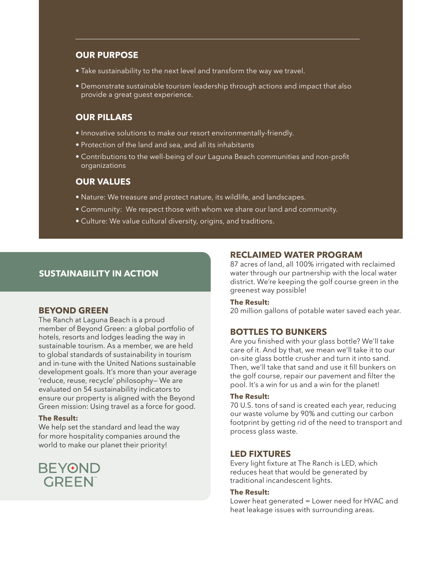## **OUR PURPOSE**

- Take sustainability to the next level and transform the way we travel.
- Demonstrate sustainable tourism leadership through actions and impact that also provide a great guest experience.

# **OUR PILLARS**

- Innovative solutions to make our resort environmentally-friendly.
- Protection of the land and sea, and all its inhabitants
- Contributions to the well-being of our Laguna Beach communities and non-profit organizations

## **OUR VALUES**

- Nature: We treasure and protect nature, its wildlife, and landscapes.
- Community: We respect those with whom we share our land and community.
- Culture: We value cultural diversity, origins, and traditions.

# **SUSTAINABILITY IN ACTION**

## **BEYOND GREEN**

The Ranch at Laguna Beach is a proud member of Beyond Green: a global portfolio of hotels, resorts and lodges leading the way in sustainable tourism. As a member, we are held to global standards of sustainability in tourism and in-tune with the United Nations sustainable development goals. It's more than your average 'reduce, reuse, recycle' philosophy— We are evaluated on 54 sustainability indicators to ensure our property is aligned with the Beyond Green mission: Using travel as a force for good.

#### **The Result:**

We help set the standard and lead the way for more hospitality companies around the world to make our planet their priority!



## **RECLAIMED WATER PROGRAM**

87 acres of land, all 100% irrigated with reclaimed water through our partnership with the local water district. We're keeping the golf course green in the greenest way possible!

#### **The Result:**

20 million gallons of potable water saved each year.

## **BOTTLES TO BUNKERS**

Are you finished with your glass bottle? We'll take care of it. And by that, we mean we'll take it to our on-site glass bottle crusher and turn it into sand. Then, we'll take that sand and use it fill bunkers on the golf course, repair our pavement and filter the pool. It's a win for us and a win for the planet!

#### **The Result:**

70 U.S. tons of sand is created each year, reducing our waste volume by 90% and cutting our carbon footprint by getting rid of the need to transport and process glass waste.

## **LED FIXTURES**

Every light fixture at The Ranch is LED, which reduces heat that would be generated by traditional incandescent lights.

#### **The Result:**

Lower heat generated = Lower need for HVAC and heat leakage issues with surrounding areas.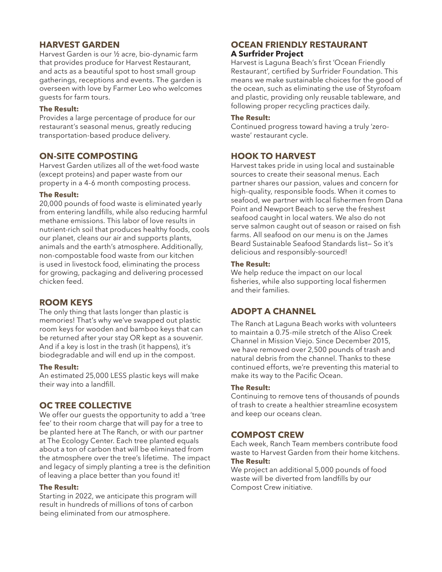# **HARVEST GARDEN**

Harvest Garden is our ½ acre, bio-dynamic farm that provides produce for Harvest Restaurant, and acts as a beautiful spot to host small group gatherings, receptions and events. The garden is overseen with love by Farmer Leo who welcomes guests for farm tours.

#### **The Result:**

Provides a large percentage of produce for our restaurant's seasonal menus, greatly reducing transportation-based produce delivery.

## **ON-SITE COMPOSTING**

Harvest Garden utilizes all of the wet-food waste (except proteins) and paper waste from our property in a 4-6 month composting process.

#### **The Result:**

20,000 pounds of food waste is eliminated yearly from entering landfills, while also reducing harmful methane emissions. This labor of love results in nutrient-rich soil that produces healthy foods, cools our planet, cleans our air and supports plants, animals and the earth's atmosphere. Additionally, non-compostable food waste from our kitchen is used in livestock food, eliminating the process for growing, packaging and delivering processed chicken feed.

## **ROOM KEYS**

The only thing that lasts longer than plastic is memories! That's why we've swapped out plastic room keys for wooden and bamboo keys that can be returned after your stay OR kept as a souvenir. And if a key is lost in the trash (it happens), it's biodegradable and will end up in the compost.

#### **The Result:**

An estimated 25,000 LESS plastic keys will make their way into a landfill.

# **OC TREE COLLECTIVE**

We offer our quests the opportunity to add a 'tree fee' to their room charge that will pay for a tree to be planted here at The Ranch, or with our partner at The Ecology Center. Each tree planted equals about a ton of carbon that will be eliminated from the atmosphere over the tree's lifetime. The impact and legacy of simply planting a tree is the definition of leaving a place better than you found it!

#### **The Result:**

Starting in 2022, we anticipate this program will result in hundreds of millions of tons of carbon being eliminated from our atmosphere.

# **OCEAN FRIENDLY RESTAURANT A Surfrider Project**

Harvest is Laguna Beach's first 'Ocean Friendly Restaurant', certified by Surfrider Foundation. This means we make sustainable choices for the good of the ocean, such as eliminating the use of Styrofoam and plastic, providing only reusable tableware, and following proper recycling practices daily.

#### **The Result:**

Continued progress toward having a truly 'zerowaste' restaurant cycle.

## **HOOK TO HARVEST**

Harvest takes pride in using local and sustainable sources to create their seasonal menus. Each partner shares our passion, values and concern for high-quality, responsible foods. When it comes to seafood, we partner with local fishermen from Dana Point and Newport Beach to serve the freshest seafood caught in local waters. We also do not serve salmon caught out of season or raised on fish farms. All seafood on our menu is on the James Beard Sustainable Seafood Standards list— So it's delicious and responsibly-sourced!

#### **The Result:**

We help reduce the impact on our local fisheries, while also supporting local fishermen and their families.

# **ADOPT A CHANNEL**

The Ranch at Laguna Beach works with volunteers to maintain a 0.75-mile stretch of the Aliso Creek Channel in Mission Viejo. Since December 2015, we have removed over 2,500 pounds of trash and natural debris from the channel. Thanks to these continued efforts, we're preventing this material to make its way to the Pacific Ocean.

## **The Result:**

Continuing to remove tens of thousands of pounds of trash to create a healthier streamline ecosystem and keep our oceans clean.

## **COMPOST CREW**

Each week, Ranch Team members contribute food waste to Harvest Garden from their home kitchens. **The Result:**

We project an additional 5,000 pounds of food waste will be diverted from landfills by our Compost Crew initiative.